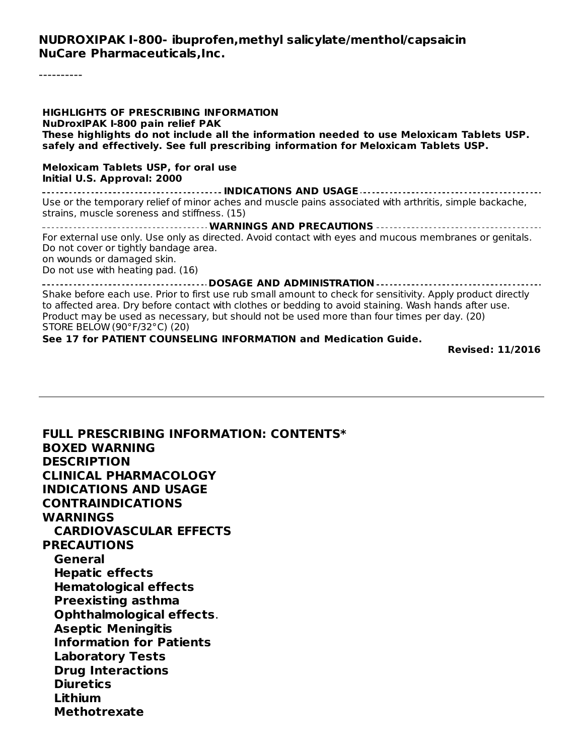#### **NUDROXIPAK I-800- ibuprofen,methyl salicylate/menthol/capsaicin NuCare Pharmaceuticals,Inc.**

**HIGHLIGHTS OF PRESCRIBING INFORMATION NuDroxIPAK I-800 pain relief PAK These highlights do not include all the information needed to use Meloxicam Tablets USP. safely and effectively. See full prescribing information for Meloxicam Tablets USP. Meloxicam Tablets USP, for oral use Initial U.S. Approval: 2000 INDICATIONS AND USAGE** Use or the temporary relief of minor aches and muscle pains associated with arthritis, simple backache, strains, muscle soreness and stiffness. (15) **WARNINGS AND PRECAUTIONS** For external use only. Use only as directed. Avoid contact with eyes and mucous membranes or genitals. Do not cover or tightly bandage area. on wounds or damaged skin. Do not use with heating pad. (16) **DOSAGE AND ADMINISTRATION** Shake before each use. Prior to first use rub small amount to check for sensitivity. Apply product directly to affected area. Dry before contact with clothes or bedding to avoid staining. Wash hands after use. Product may be used as necessary, but should not be used more than four times per day. (20) STORE BELOW (90°F/32°C) (20)

**See 17 for PATIENT COUNSELING INFORMATION and Medication Guide.**

**Revised: 11/2016**

**FULL PRESCRIBING INFORMATION: CONTENTS\* BOXED WARNING DESCRIPTION CLINICAL PHARMACOLOGY INDICATIONS AND USAGE CONTRAINDICATIONS WARNINGS CARDIOVASCULAR EFFECTS PRECAUTIONS General Hepatic effects Hematological effects Preexisting asthma Ophthalmological effects**. **Aseptic Meningitis Information for Patients Laboratory Tests Drug Interactions Diuretics Lithium Methotrexate**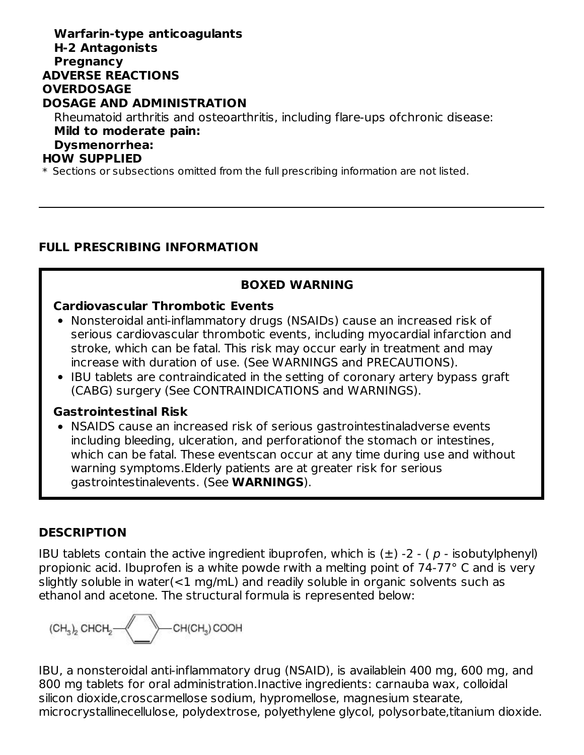#### **Warfarin-type anticoagulants H-2 Antagonists Pregnancy ADVERSE REACTIONS OVERDOSAGE DOSAGE AND ADMINISTRATION** Rheumatoid arthritis and osteoarthritis, including flare-ups ofchronic disease: **Mild to moderate pain: Dysmenorrhea: HOW SUPPLIED**

 $\ast$  Sections or subsections omitted from the full prescribing information are not listed.

## **FULL PRESCRIBING INFORMATION**

## **BOXED WARNING**

#### **Cardiovascular Thrombotic Events**

- Nonsteroidal anti-inflammatory drugs (NSAIDs) cause an increased risk of serious cardiovascular thrombotic events, including myocardial infarction and stroke, which can be fatal. This risk may occur early in treatment and may increase with duration of use. (See WARNINGS and PRECAUTIONS).
- IBU tablets are contraindicated in the setting of coronary artery bypass graft (CABG) surgery (See CONTRAINDICATIONS and WARNINGS).

#### **Gastrointestinal Risk**

NSAIDS cause an increased risk of serious gastrointestinaladverse events including bleeding, ulceration, and perforationof the stomach or intestines, which can be fatal. These eventscan occur at any time during use and without warning symptoms.Elderly patients are at greater risk for serious gastrointestinalevents. (See **WARNINGS**).

## **DESCRIPTION**

IBU tablets contain the active ingredient ibuprofen, which is  $(\pm)$  -2 - ( $p$  - isobutylphenyl) propionic acid. Ibuprofen is a white powde rwith a melting point of 74-77° C and is very slightly soluble in water(<1 mg/mL) and readily soluble in organic solvents such as ethanol and acetone. The structural formula is represented below:



IBU, a nonsteroidal anti-inflammatory drug (NSAID), is availablein 400 mg, 600 mg, and 800 mg tablets for oral administration.Inactive ingredients: carnauba wax, colloidal silicon dioxide,croscarmellose sodium, hypromellose, magnesium stearate, microcrystallinecellulose, polydextrose, polyethylene glycol, polysorbate,titanium dioxide.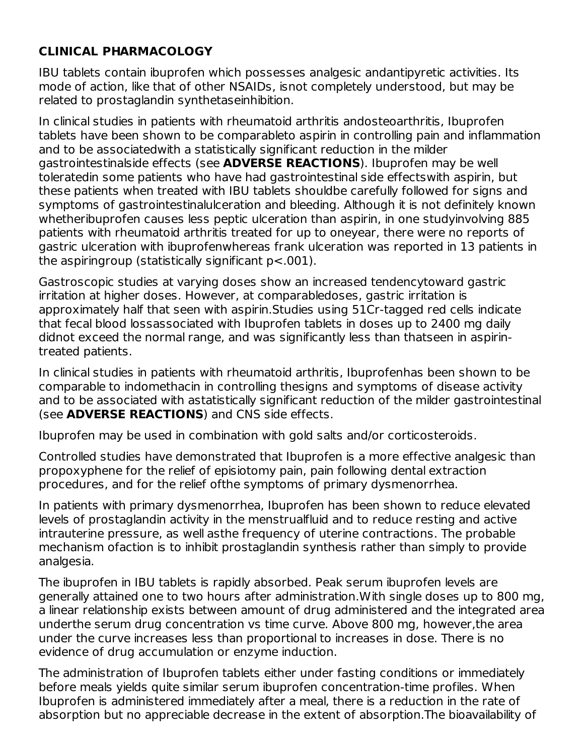## **CLINICAL PHARMACOLOGY**

IBU tablets contain ibuprofen which possesses analgesic andantipyretic activities. Its mode of action, like that of other NSAIDs, isnot completely understood, but may be related to prostaglandin synthetaseinhibition.

In clinical studies in patients with rheumatoid arthritis andosteoarthritis, Ibuprofen tablets have been shown to be comparableto aspirin in controlling pain and inflammation and to be associatedwith a statistically significant reduction in the milder gastrointestinalside effects (see **ADVERSE REACTIONS**). Ibuprofen may be well toleratedin some patients who have had gastrointestinal side effectswith aspirin, but these patients when treated with IBU tablets shouldbe carefully followed for signs and symptoms of gastrointestinalulceration and bleeding. Although it is not definitely known whetheribuprofen causes less peptic ulceration than aspirin, in one studyinvolving 885 patients with rheumatoid arthritis treated for up to oneyear, there were no reports of gastric ulceration with ibuprofenwhereas frank ulceration was reported in 13 patients in the aspiringroup (statistically significant p<.001).

Gastroscopic studies at varying doses show an increased tendencytoward gastric irritation at higher doses. However, at comparabledoses, gastric irritation is approximately half that seen with aspirin.Studies using 51Cr-tagged red cells indicate that fecal blood lossassociated with Ibuprofen tablets in doses up to 2400 mg daily didnot exceed the normal range, and was significantly less than thatseen in aspirintreated patients.

In clinical studies in patients with rheumatoid arthritis, Ibuprofenhas been shown to be comparable to indomethacin in controlling thesigns and symptoms of disease activity and to be associated with astatistically significant reduction of the milder gastrointestinal (see **ADVERSE REACTIONS**) and CNS side effects.

Ibuprofen may be used in combination with gold salts and/or corticosteroids.

Controlled studies have demonstrated that Ibuprofen is a more effective analgesic than propoxyphene for the relief of episiotomy pain, pain following dental extraction procedures, and for the relief ofthe symptoms of primary dysmenorrhea.

In patients with primary dysmenorrhea, Ibuprofen has been shown to reduce elevated levels of prostaglandin activity in the menstrualfluid and to reduce resting and active intrauterine pressure, as well asthe frequency of uterine contractions. The probable mechanism ofaction is to inhibit prostaglandin synthesis rather than simply to provide analgesia.

The ibuprofen in IBU tablets is rapidly absorbed. Peak serum ibuprofen levels are generally attained one to two hours after administration.With single doses up to 800 mg, a linear relationship exists between amount of drug administered and the integrated area underthe serum drug concentration vs time curve. Above 800 mg, however,the area under the curve increases less than proportional to increases in dose. There is no evidence of drug accumulation or enzyme induction.

The administration of Ibuprofen tablets either under fasting conditions or immediately before meals yields quite similar serum ibuprofen concentration-time profiles. When Ibuprofen is administered immediately after a meal, there is a reduction in the rate of absorption but no appreciable decrease in the extent of absorption.The bioavailability of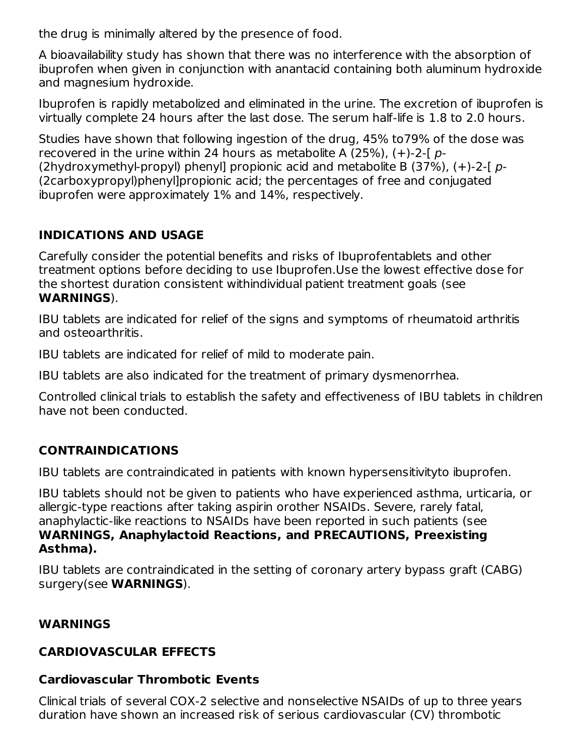the drug is minimally altered by the presence of food.

A bioavailability study has shown that there was no interference with the absorption of ibuprofen when given in conjunction with anantacid containing both aluminum hydroxide and magnesium hydroxide.

Ibuprofen is rapidly metabolized and eliminated in the urine. The excretion of ibuprofen is virtually complete 24 hours after the last dose. The serum half-life is 1.8 to 2.0 hours.

Studies have shown that following ingestion of the drug, 45% to79% of the dose was recovered in the urine within 24 hours as metabolite A (25%),  $(+)$ -2-[  $p$ -(2hydroxymethyl-propyl) phenyl] propionic acid and metabolite B (37%),  $(+)$ -2-[  $p$ -(2carboxypropyl)phenyl]propionic acid; the percentages of free and conjugated ibuprofen were approximately 1% and 14%, respectively.

## **INDICATIONS AND USAGE**

Carefully consider the potential benefits and risks of Ibuprofentablets and other treatment options before deciding to use Ibuprofen.Use the lowest effective dose for the shortest duration consistent withindividual patient treatment goals (see **WARNINGS**).

IBU tablets are indicated for relief of the signs and symptoms of rheumatoid arthritis and osteoarthritis.

IBU tablets are indicated for relief of mild to moderate pain.

IBU tablets are also indicated for the treatment of primary dysmenorrhea.

Controlled clinical trials to establish the safety and effectiveness of IBU tablets in children have not been conducted.

# **CONTRAINDICATIONS**

IBU tablets are contraindicated in patients with known hypersensitivityto ibuprofen.

IBU tablets should not be given to patients who have experienced asthma, urticaria, or allergic-type reactions after taking aspirin orother NSAIDs. Severe, rarely fatal, anaphylactic-like reactions to NSAIDs have been reported in such patients (see **WARNINGS, Anaphylactoid Reactions, and PRECAUTIONS, Preexisting Asthma).**

IBU tablets are contraindicated in the setting of coronary artery bypass graft (CABG) surgery(see **WARNINGS**).

## **WARNINGS**

# **CARDIOVASCULAR EFFECTS**

# **Cardiovascular Thrombotic Events**

Clinical trials of several COX-2 selective and nonselective NSAIDs of up to three years duration have shown an increased risk of serious cardiovascular (CV) thrombotic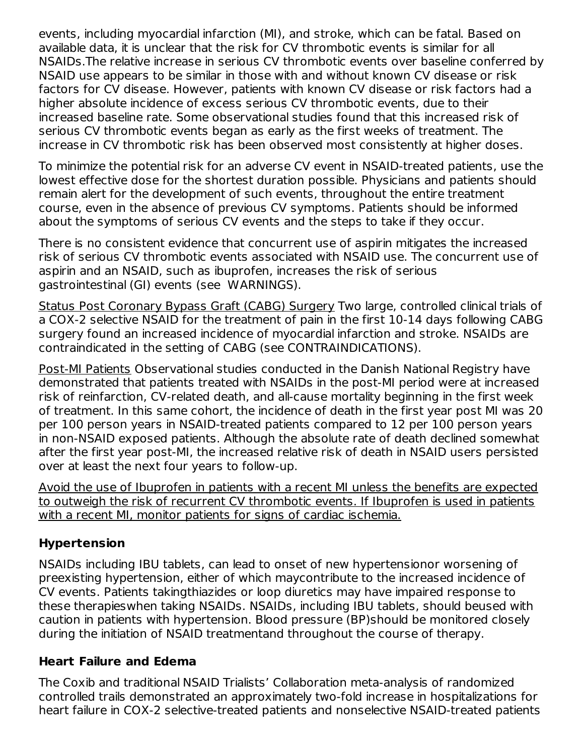events, including myocardial infarction (MI), and stroke, which can be fatal. Based on available data, it is unclear that the risk for CV thrombotic events is similar for all NSAIDs.The relative increase in serious CV thrombotic events over baseline conferred by NSAID use appears to be similar in those with and without known CV disease or risk factors for CV disease. However, patients with known CV disease or risk factors had a higher absolute incidence of excess serious CV thrombotic events, due to their increased baseline rate. Some observational studies found that this increased risk of serious CV thrombotic events began as early as the first weeks of treatment. The increase in CV thrombotic risk has been observed most consistently at higher doses.

To minimize the potential risk for an adverse CV event in NSAID-treated patients, use the lowest effective dose for the shortest duration possible. Physicians and patients should remain alert for the development of such events, throughout the entire treatment course, even in the absence of previous CV symptoms. Patients should be informed about the symptoms of serious CV events and the steps to take if they occur.

There is no consistent evidence that concurrent use of aspirin mitigates the increased risk of serious CV thrombotic events associated with NSAID use. The concurrent use of aspirin and an NSAID, such as ibuprofen, increases the risk of serious gastrointestinal (GI) events (see WARNINGS).

Status Post Coronary Bypass Graft (CABG) Surgery Two large, controlled clinical trials of a COX-2 selective NSAID for the treatment of pain in the first 10-14 days following CABG surgery found an increased incidence of myocardial infarction and stroke. NSAIDs are contraindicated in the setting of CABG (see CONTRAINDICATIONS).

Post-MI Patients Observational studies conducted in the Danish National Registry have demonstrated that patients treated with NSAIDs in the post-MI period were at increased risk of reinfarction, CV-related death, and all-cause mortality beginning in the first week of treatment. In this same cohort, the incidence of death in the first year post MI was 20 per 100 person years in NSAID-treated patients compared to 12 per 100 person years in non-NSAID exposed patients. Although the absolute rate of death declined somewhat after the first year post-MI, the increased relative risk of death in NSAID users persisted over at least the next four years to follow-up.

Avoid the use of Ibuprofen in patients with a recent MI unless the benefits are expected to outweigh the risk of recurrent CV thrombotic events. If Ibuprofen is used in patients with a recent MI, monitor patients for signs of cardiac ischemia.

## **Hypertension**

NSAIDs including IBU tablets, can lead to onset of new hypertensionor worsening of preexisting hypertension, either of which maycontribute to the increased incidence of CV events. Patients takingthiazides or loop diuretics may have impaired response to these therapieswhen taking NSAIDs. NSAIDs, including IBU tablets, should beused with caution in patients with hypertension. Blood pressure (BP)should be monitored closely during the initiation of NSAID treatmentand throughout the course of therapy.

## **Heart Failure and Edema**

The Coxib and traditional NSAID Trialists' Collaboration meta-analysis of randomized controlled trails demonstrated an approximately two-fold increase in hospitalizations for heart failure in COX-2 selective-treated patients and nonselective NSAID-treated patients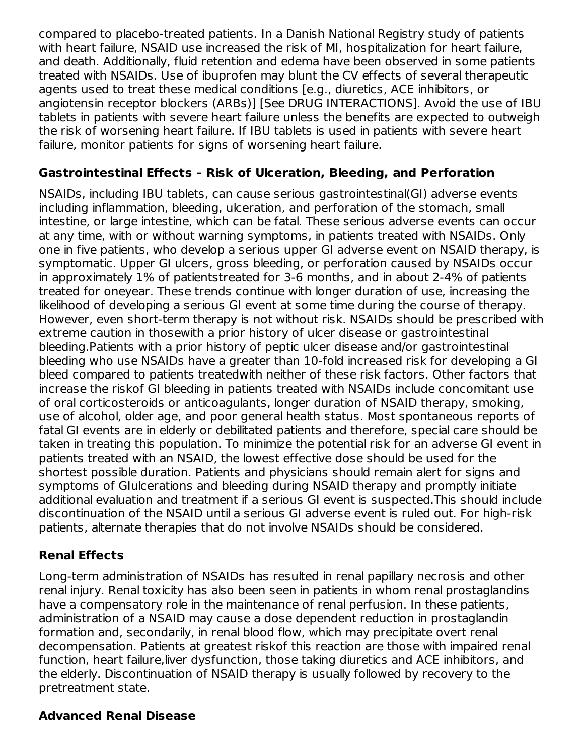compared to placebo-treated patients. In a Danish National Registry study of patients with heart failure, NSAID use increased the risk of MI, hospitalization for heart failure, and death. Additionally, fluid retention and edema have been observed in some patients treated with NSAIDs. Use of ibuprofen may blunt the CV effects of several therapeutic agents used to treat these medical conditions [e.g., diuretics, ACE inhibitors, or angiotensin receptor blockers (ARBs)] [See DRUG INTERACTIONS]. Avoid the use of IBU tablets in patients with severe heart failure unless the benefits are expected to outweigh the risk of worsening heart failure. If IBU tablets is used in patients with severe heart failure, monitor patients for signs of worsening heart failure.

#### **Gastrointestinal Effects - Risk of Ulceration, Bleeding, and Perforation**

NSAIDs, including IBU tablets, can cause serious gastrointestinal(GI) adverse events including inflammation, bleeding, ulceration, and perforation of the stomach, small intestine, or large intestine, which can be fatal. These serious adverse events can occur at any time, with or without warning symptoms, in patients treated with NSAIDs. Only one in five patients, who develop a serious upper GI adverse event on NSAID therapy, is symptomatic. Upper GI ulcers, gross bleeding, or perforation caused by NSAIDs occur in approximately 1% of patientstreated for 3-6 months, and in about 2-4% of patients treated for oneyear. These trends continue with longer duration of use, increasing the likelihood of developing a serious GI event at some time during the course of therapy. However, even short-term therapy is not without risk. NSAIDs should be prescribed with extreme caution in thosewith a prior history of ulcer disease or gastrointestinal bleeding.Patients with a prior history of peptic ulcer disease and/or gastrointestinal bleeding who use NSAIDs have a greater than 10-fold increased risk for developing a GI bleed compared to patients treatedwith neither of these risk factors. Other factors that increase the riskof GI bleeding in patients treated with NSAIDs include concomitant use of oral corticosteroids or anticoagulants, longer duration of NSAID therapy, smoking, use of alcohol, older age, and poor general health status. Most spontaneous reports of fatal GI events are in elderly or debilitated patients and therefore, special care should be taken in treating this population. To minimize the potential risk for an adverse GI event in patients treated with an NSAID, the lowest effective dose should be used for the shortest possible duration. Patients and physicians should remain alert for signs and symptoms of GIulcerations and bleeding during NSAID therapy and promptly initiate additional evaluation and treatment if a serious GI event is suspected.This should include discontinuation of the NSAID until a serious GI adverse event is ruled out. For high-risk patients, alternate therapies that do not involve NSAIDs should be considered.

#### **Renal Effects**

Long-term administration of NSAIDs has resulted in renal papillary necrosis and other renal injury. Renal toxicity has also been seen in patients in whom renal prostaglandins have a compensatory role in the maintenance of renal perfusion. In these patients, administration of a NSAID may cause a dose dependent reduction in prostaglandin formation and, secondarily, in renal blood flow, which may precipitate overt renal decompensation. Patients at greatest riskof this reaction are those with impaired renal function, heart failure, liver dysfunction, those taking diuretics and ACE inhibitors, and the elderly. Discontinuation of NSAID therapy is usually followed by recovery to the pretreatment state.

#### **Advanced Renal Disease**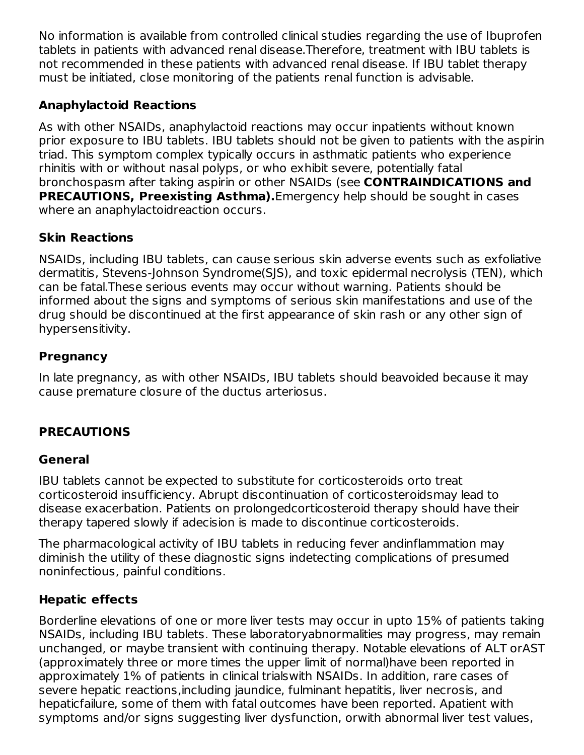No information is available from controlled clinical studies regarding the use of Ibuprofen tablets in patients with advanced renal disease.Therefore, treatment with IBU tablets is not recommended in these patients with advanced renal disease. If IBU tablet therapy must be initiated, close monitoring of the patients renal function is advisable.

## **Anaphylactoid Reactions**

As with other NSAIDs, anaphylactoid reactions may occur inpatients without known prior exposure to IBU tablets. IBU tablets should not be given to patients with the aspirin triad. This symptom complex typically occurs in asthmatic patients who experience rhinitis with or without nasal polyps, or who exhibit severe, potentially fatal bronchospasm after taking aspirin or other NSAIDs (see **CONTRAINDICATIONS and PRECAUTIONS, Preexisting Asthma).**Emergency help should be sought in cases where an anaphylactoidreaction occurs.

## **Skin Reactions**

NSAIDs, including IBU tablets, can cause serious skin adverse events such as exfoliative dermatitis, Stevens-Johnson Syndrome(SJS), and toxic epidermal necrolysis (TEN), which can be fatal.These serious events may occur without warning. Patients should be informed about the signs and symptoms of serious skin manifestations and use of the drug should be discontinued at the first appearance of skin rash or any other sign of hypersensitivity.

## **Pregnancy**

In late pregnancy, as with other NSAIDs, IBU tablets should beavoided because it may cause premature closure of the ductus arteriosus.

## **PRECAUTIONS**

## **General**

IBU tablets cannot be expected to substitute for corticosteroids orto treat corticosteroid insufficiency. Abrupt discontinuation of corticosteroidsmay lead to disease exacerbation. Patients on prolongedcorticosteroid therapy should have their therapy tapered slowly if adecision is made to discontinue corticosteroids.

The pharmacological activity of IBU tablets in reducing fever andinflammation may diminish the utility of these diagnostic signs indetecting complications of presumed noninfectious, painful conditions.

## **Hepatic effects**

Borderline elevations of one or more liver tests may occur in upto 15% of patients taking NSAIDs, including IBU tablets. These laboratoryabnormalities may progress, may remain unchanged, or maybe transient with continuing therapy. Notable elevations of ALT orAST (approximately three or more times the upper limit of normal)have been reported in approximately 1% of patients in clinical trialswith NSAIDs. In addition, rare cases of severe hepatic reactions,including jaundice, fulminant hepatitis, liver necrosis, and hepaticfailure, some of them with fatal outcomes have been reported. Apatient with symptoms and/or signs suggesting liver dysfunction, orwith abnormal liver test values,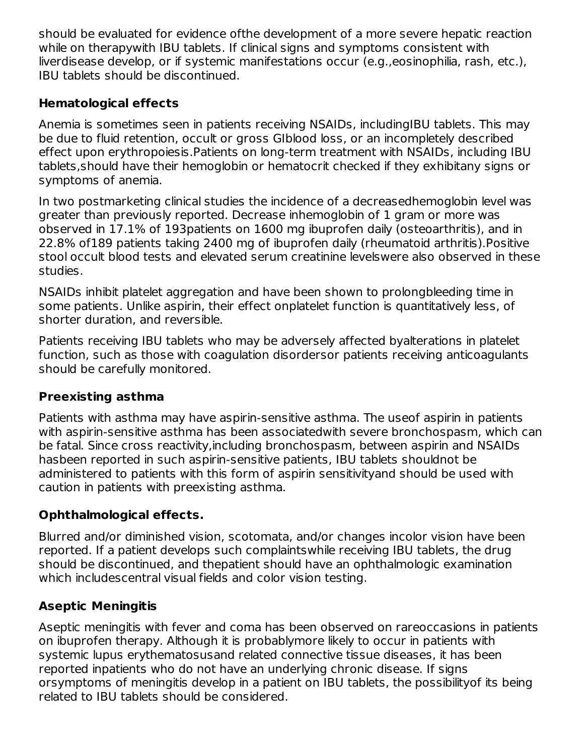should be evaluated for evidence ofthe development of a more severe hepatic reaction while on therapywith IBU tablets. If clinical signs and symptoms consistent with liverdisease develop, or if systemic manifestations occur (e.g.,eosinophilia, rash, etc.), IBU tablets should be discontinued.

## **Hematological effects**

Anemia is sometimes seen in patients receiving NSAIDs, includingIBU tablets. This may be due to fluid retention, occult or gross GIblood loss, or an incompletely described effect upon erythropoiesis.Patients on long-term treatment with NSAIDs, including IBU tablets,should have their hemoglobin or hematocrit checked if they exhibitany signs or symptoms of anemia.

In two postmarketing clinical studies the incidence of a decreasedhemoglobin level was greater than previously reported. Decrease inhemoglobin of 1 gram or more was observed in 17.1% of 193patients on 1600 mg ibuprofen daily (osteoarthritis), and in 22.8% of189 patients taking 2400 mg of ibuprofen daily (rheumatoid arthritis).Positive stool occult blood tests and elevated serum creatinine levelswere also observed in these studies.

NSAIDs inhibit platelet aggregation and have been shown to prolongbleeding time in some patients. Unlike aspirin, their effect onplatelet function is quantitatively less, of shorter duration, and reversible.

Patients receiving IBU tablets who may be adversely affected byalterations in platelet function, such as those with coagulation disordersor patients receiving anticoagulants should be carefully monitored.

# **Preexisting asthma**

Patients with asthma may have aspirin-sensitive asthma. The useof aspirin in patients with aspirin-sensitive asthma has been associatedwith severe bronchospasm, which can be fatal. Since cross reactivity,including bronchospasm, between aspirin and NSAIDs hasbeen reported in such aspirin-sensitive patients, IBU tablets shouldnot be administered to patients with this form of aspirin sensitivityand should be used with caution in patients with preexisting asthma.

# **Ophthalmological effects.**

Blurred and/or diminished vision, scotomata, and/or changes incolor vision have been reported. If a patient develops such complaintswhile receiving IBU tablets, the drug should be discontinued, and thepatient should have an ophthalmologic examination which includescentral visual fields and color vision testing.

# **Aseptic Meningitis**

Aseptic meningitis with fever and coma has been observed on rareoccasions in patients on ibuprofen therapy. Although it is probablymore likely to occur in patients with systemic lupus erythematosusand related connective tissue diseases, it has been reported inpatients who do not have an underlying chronic disease. If signs orsymptoms of meningitis develop in a patient on IBU tablets, the possibilityof its being related to IBU tablets should be considered.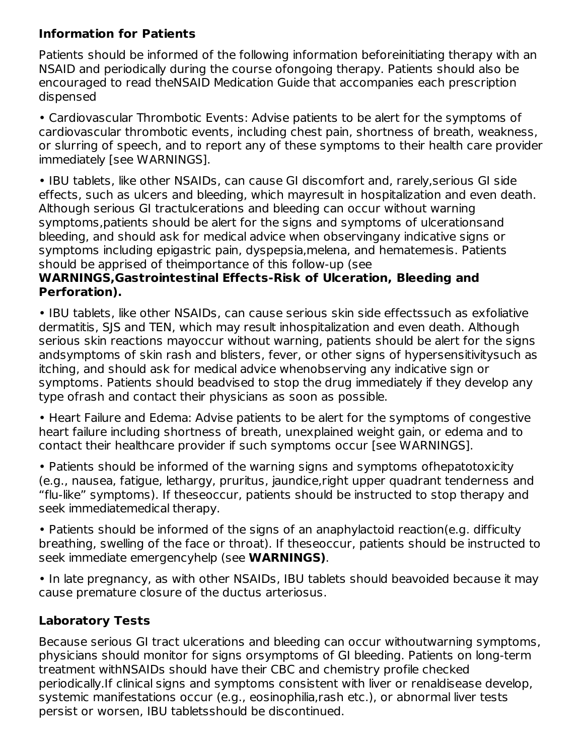## **Information for Patients**

Patients should be informed of the following information beforeinitiating therapy with an NSAID and periodically during the course ofongoing therapy. Patients should also be encouraged to read theNSAID Medication Guide that accompanies each prescription dispensed

• Cardiovascular Thrombotic Events: Advise patients to be alert for the symptoms of cardiovascular thrombotic events, including chest pain, shortness of breath, weakness, or slurring of speech, and to report any of these symptoms to their health care provider immediately [see WARNINGS].

• IBU tablets, like other NSAIDs, can cause GI discomfort and, rarely,serious GI side effects, such as ulcers and bleeding, which mayresult in hospitalization and even death. Although serious GI tractulcerations and bleeding can occur without warning symptoms,patients should be alert for the signs and symptoms of ulcerationsand bleeding, and should ask for medical advice when observingany indicative signs or symptoms including epigastric pain, dyspepsia,melena, and hematemesis. Patients should be apprised of theimportance of this follow-up (see

#### **WARNINGS,Gastrointestinal Effects-Risk of Ulceration, Bleeding and Perforation).**

• IBU tablets, like other NSAIDs, can cause serious skin side effectssuch as exfoliative dermatitis, SJS and TEN, which may result inhospitalization and even death. Although serious skin reactions mayoccur without warning, patients should be alert for the signs andsymptoms of skin rash and blisters, fever, or other signs of hypersensitivitysuch as itching, and should ask for medical advice whenobserving any indicative sign or symptoms. Patients should beadvised to stop the drug immediately if they develop any type ofrash and contact their physicians as soon as possible.

• Heart Failure and Edema: Advise patients to be alert for the symptoms of congestive heart failure including shortness of breath, unexplained weight gain, or edema and to contact their healthcare provider if such symptoms occur [see WARNINGS].

• Patients should be informed of the warning signs and symptoms ofhepatotoxicity (e.g., nausea, fatigue, lethargy, pruritus, jaundice,right upper quadrant tenderness and "flu-like" symptoms). If theseoccur, patients should be instructed to stop therapy and seek immediatemedical therapy.

• Patients should be informed of the signs of an anaphylactoid reaction(e.g. difficulty breathing, swelling of the face or throat). If theseoccur, patients should be instructed to seek immediate emergencyhelp (see **WARNINGS)**.

• In late pregnancy, as with other NSAIDs, IBU tablets should beavoided because it may cause premature closure of the ductus arteriosus.

# **Laboratory Tests**

Because serious GI tract ulcerations and bleeding can occur withoutwarning symptoms, physicians should monitor for signs orsymptoms of GI bleeding. Patients on long-term treatment withNSAIDs should have their CBC and chemistry profile checked periodically.If clinical signs and symptoms consistent with liver or renaldisease develop, systemic manifestations occur (e.g., eosinophilia,rash etc.), or abnormal liver tests persist or worsen, IBU tabletsshould be discontinued.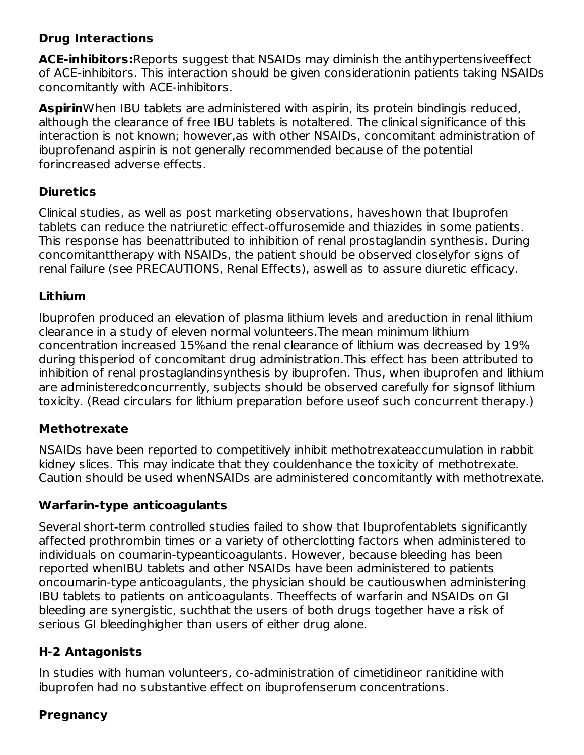#### **Drug Interactions**

**ACE-inhibitors:**Reports suggest that NSAIDs may diminish the antihypertensiveeffect of ACE-inhibitors. This interaction should be given considerationin patients taking NSAIDs concomitantly with ACE-inhibitors.

**Aspirin**When IBU tablets are administered with aspirin, its protein bindingis reduced, although the clearance of free IBU tablets is notaltered. The clinical significance of this interaction is not known; however,as with other NSAIDs, concomitant administration of ibuprofenand aspirin is not generally recommended because of the potential forincreased adverse effects.

## **Diuretics**

Clinical studies, as well as post marketing observations, haveshown that Ibuprofen tablets can reduce the natriuretic effect-offurosemide and thiazides in some patients. This response has beenattributed to inhibition of renal prostaglandin synthesis. During concomitanttherapy with NSAIDs, the patient should be observed closelyfor signs of renal failure (see PRECAUTIONS, Renal Effects), aswell as to assure diuretic efficacy.

## **Lithium**

Ibuprofen produced an elevation of plasma lithium levels and areduction in renal lithium clearance in a study of eleven normal volunteers.The mean minimum lithium concentration increased 15%and the renal clearance of lithium was decreased by 19% during thisperiod of concomitant drug administration.This effect has been attributed to inhibition of renal prostaglandinsynthesis by ibuprofen. Thus, when ibuprofen and lithium are administeredconcurrently, subjects should be observed carefully for signsof lithium toxicity. (Read circulars for lithium preparation before useof such concurrent therapy.)

# **Methotrexate**

NSAIDs have been reported to competitively inhibit methotrexateaccumulation in rabbit kidney slices. This may indicate that they couldenhance the toxicity of methotrexate. Caution should be used whenNSAIDs are administered concomitantly with methotrexate.

# **Warfarin-type anticoagulants**

Several short-term controlled studies failed to show that Ibuprofentablets significantly affected prothrombin times or a variety of otherclotting factors when administered to individuals on coumarin-typeanticoagulants. However, because bleeding has been reported whenIBU tablets and other NSAIDs have been administered to patients oncoumarin-type anticoagulants, the physician should be cautiouswhen administering IBU tablets to patients on anticoagulants. Theeffects of warfarin and NSAIDs on GI bleeding are synergistic, suchthat the users of both drugs together have a risk of serious GI bleedinghigher than users of either drug alone.

## **H-2 Antagonists**

In studies with human volunteers, co-administration of cimetidineor ranitidine with ibuprofen had no substantive effect on ibuprofenserum concentrations.

## **Pregnancy**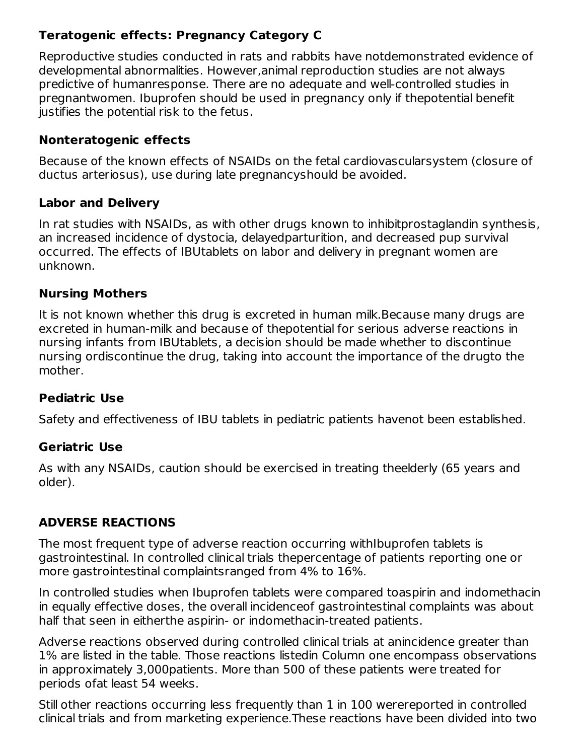## **Teratogenic effects: Pregnancy Category C**

Reproductive studies conducted in rats and rabbits have notdemonstrated evidence of developmental abnormalities. However,animal reproduction studies are not always predictive of humanresponse. There are no adequate and well-controlled studies in pregnantwomen. Ibuprofen should be used in pregnancy only if thepotential benefit justifies the potential risk to the fetus.

## **Nonteratogenic effects**

Because of the known effects of NSAIDs on the fetal cardiovascularsystem (closure of ductus arteriosus), use during late pregnancyshould be avoided.

#### **Labor and Delivery**

In rat studies with NSAIDs, as with other drugs known to inhibitprostaglandin synthesis, an increased incidence of dystocia, delayedparturition, and decreased pup survival occurred. The effects of IBUtablets on labor and delivery in pregnant women are unknown.

## **Nursing Mothers**

It is not known whether this drug is excreted in human milk.Because many drugs are excreted in human-milk and because of thepotential for serious adverse reactions in nursing infants from IBUtablets, a decision should be made whether to discontinue nursing ordiscontinue the drug, taking into account the importance of the drugto the mother.

## **Pediatric Use**

Safety and effectiveness of IBU tablets in pediatric patients havenot been established.

# **Geriatric Use**

As with any NSAIDs, caution should be exercised in treating theelderly (65 years and older).

# **ADVERSE REACTIONS**

The most frequent type of adverse reaction occurring withIbuprofen tablets is gastrointestinal. In controlled clinical trials thepercentage of patients reporting one or more gastrointestinal complaintsranged from 4% to 16%.

In controlled studies when Ibuprofen tablets were compared toaspirin and indomethacin in equally effective doses, the overall incidenceof gastrointestinal complaints was about half that seen in eitherthe aspirin- or indomethacin-treated patients.

Adverse reactions observed during controlled clinical trials at anincidence greater than 1% are listed in the table. Those reactions listedin Column one encompass observations in approximately 3,000patients. More than 500 of these patients were treated for periods ofat least 54 weeks.

Still other reactions occurring less frequently than 1 in 100 werereported in controlled clinical trials and from marketing experience.These reactions have been divided into two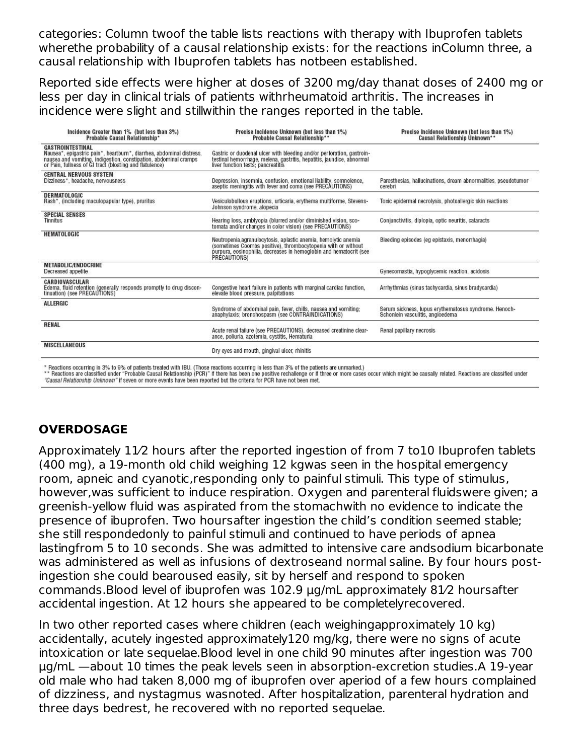categories: Column twoof the table lists reactions with therapy with Ibuprofen tablets wherethe probability of a causal relationship exists: for the reactions inColumn three, a causal relationship with Ibuprofen tablets has notbeen established.

Reported side effects were higher at doses of 3200 mg/day thanat doses of 2400 mg or less per day in clinical trials of patients withrheumatoid arthritis. The increases in incidence were slight and stillwithin the ranges reported in the table.

| Incidence Greater than 1% (but less than 3%)<br>Probable Causal Relationship*                                                                                                                                                  | Precise Incidence Unknown (but less than 1%)<br>Probable Causal Relationship**                                                                                                                                         | Precise Incidence Unknown (but less than 1%)<br>Causal Relationship Unknown**             |  |
|--------------------------------------------------------------------------------------------------------------------------------------------------------------------------------------------------------------------------------|------------------------------------------------------------------------------------------------------------------------------------------------------------------------------------------------------------------------|-------------------------------------------------------------------------------------------|--|
| <b>GASTROINTESTINAL</b><br>Nausea*, epigastric pain*, heartburn*, diarrhea, abdominal distress,<br>nausea and vomiting, indigestion, constipation, abdominal cramps<br>or Pain, fullness of GI tract (bloating and flatulence) | Gastric or duodenal ulcer with bleeding and/or perforation, gastroin-<br>testinal hemorrhage, melena, gastritis, hepatitis, jaundice, abnormal<br>liver function tests: pancreatitis                                   |                                                                                           |  |
| <b>CENTRAL NERVOUS SYSTEM</b><br>Dizziness*, headache, nervousness                                                                                                                                                             | Depression, insomnia, confusion, emotional liability, somnolence,<br>aseptic meningitis with fever and coma (see PRECAUTIONS)                                                                                          | Paresthesias, hallucinations, dream abnormalities, pseudotumor<br>cerebri                 |  |
| <b>DERMATOLOGIC</b><br>Rash*, (including maculopapular type), pruritus                                                                                                                                                         | Vesiculobullous eruptions, urticaria, erythema multiforme, Stevens-<br>Johnson syndrome, alopecia                                                                                                                      | Toxic epidermal necrolysis, photoallergic skin reactions                                  |  |
| <b>SPECIAL SENSES</b><br>Tinnitus                                                                                                                                                                                              | Hearing loss, amblyopia (blurred and/or diminished vision, sco-<br>tomata and/or changes in color vision) (see PRECAUTIONS)                                                                                            | Conjunctivitis, diplopia, optic neuritis, cataracts                                       |  |
| <b>HEMATOLOGIC</b>                                                                                                                                                                                                             | Neutropenia, agranulocytosis, aplastic anemia, hemolytic anemia<br>(sometimes Coombs positive), thrombocytopenia with or without<br>purpura, eosinophilia, decreases in hemoglobin and hematocrit (see<br>PRECAUTIONS) | Bleeding episodes (eg epistaxis, menomhagia)                                              |  |
| <b>METABOLIC/ENDOCRINE</b><br>Decreased appetite                                                                                                                                                                               |                                                                                                                                                                                                                        | Gynecomastia, hypoglycemic reaction, acidosis                                             |  |
| CARDIOVASCULAR<br>Edema, fluid retention (generally responds promptly to drug discon-<br>tinuation) (see PRECAUTIONS)                                                                                                          | Congestive heart failure in patients with marginal cardiac function,<br>elevate blood pressure, palpitations                                                                                                           | Arrhythmias (sinus tachycardia, sinus bradycardia)                                        |  |
| <b>ALLERGIC</b>                                                                                                                                                                                                                | Syndrome of abdominal pain, fever, chills, nausea and vomiting;<br>anaphylaxis; bronchospasm (see CONTRAINDICATIONS)                                                                                                   | Serum sickness, lupus erythematosus syndrome. Henoch-<br>Schonlein vasculitis, angioedema |  |
| <b>RENAL</b>                                                                                                                                                                                                                   | Acute renal failure (see PRECAUTIONS), decreased creatinine clear-<br>ance, poliuria, azotemia, cystitis, Hematuria                                                                                                    | Renal papillary necrosis                                                                  |  |
| <b>MISCELLANEOUS</b>                                                                                                                                                                                                           | Dry eyes and mouth, gingival ulcer, rhinitis                                                                                                                                                                           |                                                                                           |  |

\* Reactions occurring in 3% to 9% of patients treated with IBU. (Those reactions occurring in less than 3% of the patients are unmarked.)<br>\*\* Reactions are classified under "Probable Causal Relationship (PCR)" if there has

## **OVERDOSAGE**

Approximately 11⁄2 hours after the reported ingestion of from 7 to10 Ibuprofen tablets (400 mg), a 19-month old child weighing 12 kgwas seen in the hospital emergency room, apneic and cyanotic,responding only to painful stimuli. This type of stimulus, however,was sufficient to induce respiration. Oxygen and parenteral fluidswere given; a greenish-yellow fluid was aspirated from the stomachwith no evidence to indicate the presence of ibuprofen. Two hoursafter ingestion the child's condition seemed stable; she still respondedonly to painful stimuli and continued to have periods of apnea lastingfrom 5 to 10 seconds. She was admitted to intensive care andsodium bicarbonate was administered as well as infusions of dextroseand normal saline. By four hours postingestion she could bearoused easily, sit by herself and respond to spoken commands.Blood level of ibuprofen was 102.9 μg/mL approximately 81⁄2 hoursafter accidental ingestion. At 12 hours she appeared to be completelyrecovered.

In two other reported cases where children (each weighingapproximately 10 kg) accidentally, acutely ingested approximately120 mg/kg, there were no signs of acute intoxication or late sequelae.Blood level in one child 90 minutes after ingestion was 700 μg/mL —about 10 times the peak levels seen in absorption-excretion studies.A 19-year old male who had taken 8,000 mg of ibuprofen over aperiod of a few hours complained of dizziness, and nystagmus wasnoted. After hospitalization, parenteral hydration and three days bedrest, he recovered with no reported sequelae.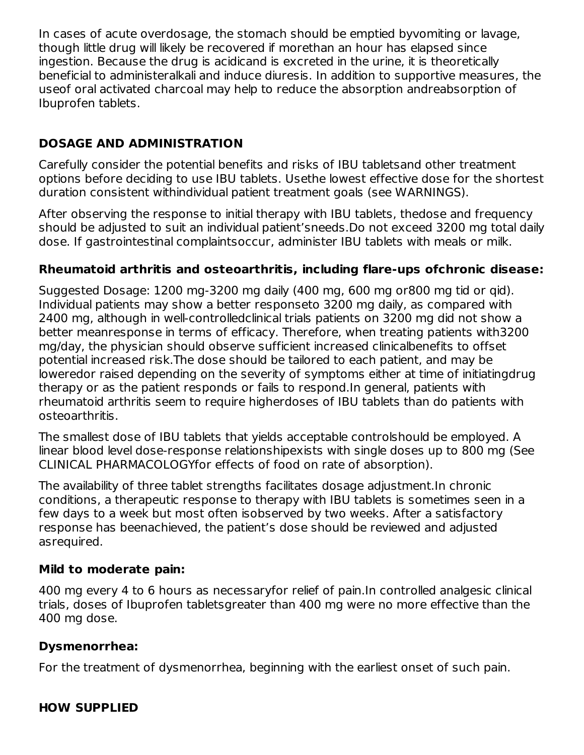In cases of acute overdosage, the stomach should be emptied byvomiting or lavage, though little drug will likely be recovered if morethan an hour has elapsed since ingestion. Because the drug is acidicand is excreted in the urine, it is theoretically beneficial to administeralkali and induce diuresis. In addition to supportive measures, the useof oral activated charcoal may help to reduce the absorption andreabsorption of Ibuprofen tablets.

## **DOSAGE AND ADMINISTRATION**

Carefully consider the potential benefits and risks of IBU tabletsand other treatment options before deciding to use IBU tablets. Usethe lowest effective dose for the shortest duration consistent withindividual patient treatment goals (see WARNINGS).

After observing the response to initial therapy with IBU tablets, thedose and frequency should be adjusted to suit an individual patient'sneeds.Do not exceed 3200 mg total daily dose. If gastrointestinal complaintsoccur, administer IBU tablets with meals or milk.

#### **Rheumatoid arthritis and osteoarthritis, including flare-ups ofchronic disease:**

Suggested Dosage: 1200 mg-3200 mg daily (400 mg, 600 mg or800 mg tid or qid). Individual patients may show a better responseto 3200 mg daily, as compared with 2400 mg, although in well-controlledclinical trials patients on 3200 mg did not show a better meanresponse in terms of efficacy. Therefore, when treating patients with3200 mg/day, the physician should observe sufficient increased clinicalbenefits to offset potential increased risk.The dose should be tailored to each patient, and may be loweredor raised depending on the severity of symptoms either at time of initiatingdrug therapy or as the patient responds or fails to respond.In general, patients with rheumatoid arthritis seem to require higherdoses of IBU tablets than do patients with osteoarthritis.

The smallest dose of IBU tablets that yields acceptable controlshould be employed. A linear blood level dose-response relationshipexists with single doses up to 800 mg (See CLINICAL PHARMACOLOGYfor effects of food on rate of absorption).

The availability of three tablet strengths facilitates dosage adjustment.In chronic conditions, a therapeutic response to therapy with IBU tablets is sometimes seen in a few days to a week but most often isobserved by two weeks. After a satisfactory response has beenachieved, the patient's dose should be reviewed and adjusted asrequired.

#### **Mild to moderate pain:**

400 mg every 4 to 6 hours as necessaryfor relief of pain.In controlled analgesic clinical trials, doses of Ibuprofen tabletsgreater than 400 mg were no more effective than the 400 mg dose.

#### **Dysmenorrhea:**

For the treatment of dysmenorrhea, beginning with the earliest onset of such pain.

#### **HOW SUPPLIED**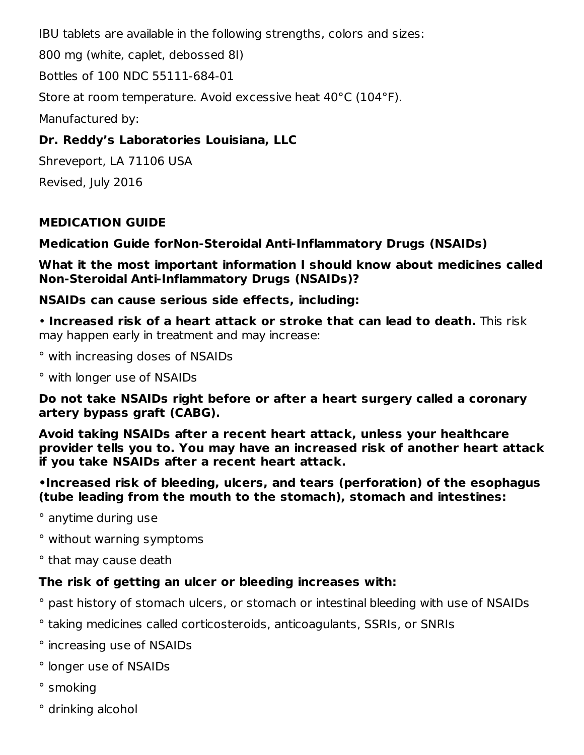IBU tablets are available in the following strengths, colors and sizes:

800 mg (white, caplet, debossed 8I)

Bottles of 100 NDC 55111-684-01

Store at room temperature. Avoid excessive heat 40°C (104°F).

Manufactured by:

# **Dr. Reddy's Laboratories Louisiana, LLC**

Shreveport, LA 71106 USA Revised, July 2016

## **MEDICATION GUIDE**

**Medication Guide forNon-Steroidal Anti-Inflammatory Drugs (NSAIDs)**

**What it the most important information I should know about medicines called Non-Steroidal Anti-Inflammatory Drugs (NSAIDs)?**

**NSAIDs can cause serious side effects, including:**

• **Increased risk of a heart attack or stroke that can lead to death.** This risk may happen early in treatment and may increase:

° with increasing doses of NSAIDs

° with longer use of NSAIDs

**Do not take NSAIDs right before or after a heart surgery called a coronary artery bypass graft (CABG).**

**Avoid taking NSAIDs after a recent heart attack, unless your healthcare provider tells you to. You may have an increased risk of another heart attack if you take NSAIDs after a recent heart attack.**

**•Increased risk of bleeding, ulcers, and tears (perforation) of the esophagus (tube leading from the mouth to the stomach), stomach and intestines:**

° anytime during use

- ° without warning symptoms
- ° that may cause death

## **The risk of getting an ulcer or bleeding increases with:**

- ° past history of stomach ulcers, or stomach or intestinal bleeding with use of NSAIDs
- ° taking medicines called corticosteroids, anticoagulants, SSRIs, or SNRIs
- ° increasing use of NSAIDs
- ° longer use of NSAIDs
- ° smoking
- ° drinking alcohol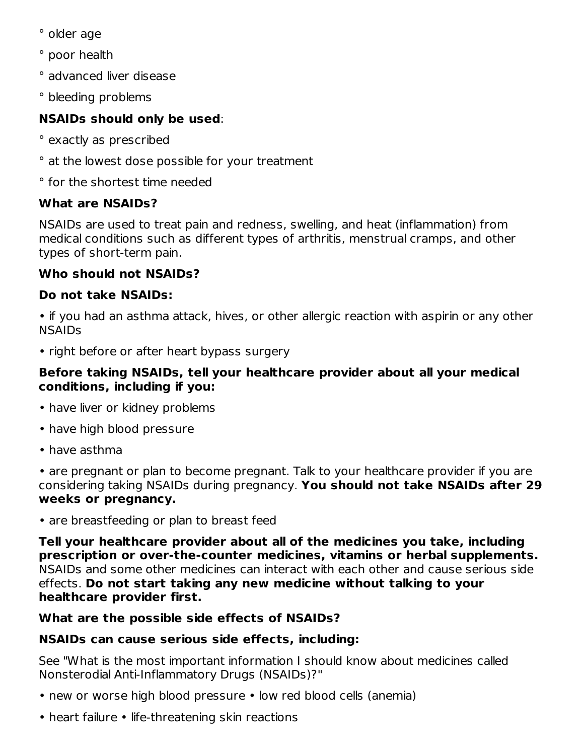- ° older age
- ° poor health
- ° advanced liver disease
- ° bleeding problems

# **NSAIDs should only be used**:

- ° exactly as prescribed
- ° at the lowest dose possible for your treatment
- ° for the shortest time needed

# **What are NSAIDs?**

NSAIDs are used to treat pain and redness, swelling, and heat (inflammation) from medical conditions such as different types of arthritis, menstrual cramps, and other types of short-term pain.

# **Who should not NSAIDs?**

# **Do not take NSAIDs:**

• if you had an asthma attack, hives, or other allergic reaction with aspirin or any other NSAIDs

• right before or after heart bypass surgery

## **Before taking NSAIDs, tell your healthcare provider about all your medical conditions, including if you:**

- have liver or kidney problems
- have high blood pressure
- have asthma

• are pregnant or plan to become pregnant. Talk to your healthcare provider if you are considering taking NSAIDs during pregnancy. **You should not take NSAIDs after 29 weeks or pregnancy.**

• are breastfeeding or plan to breast feed

**Tell your healthcare provider about all of the medicines you take, including prescription or over-the-counter medicines, vitamins or herbal supplements.** NSAIDs and some other medicines can interact with each other and cause serious side effects. **Do not start taking any new medicine without talking to your healthcare provider first.**

# **What are the possible side effects of NSAIDs?**

# **NSAIDs can cause serious side effects, including:**

See "What is the most important information I should know about medicines called Nonsterodial Anti-Inflammatory Drugs (NSAIDs)?"

- new or worse high blood pressure low red blood cells (anemia)
- heart failure life-threatening skin reactions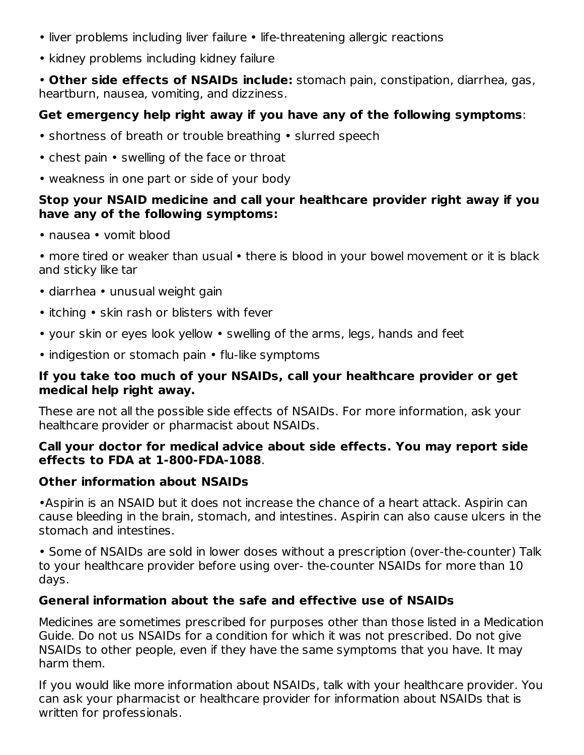- liver problems including liver failure life-threatening allergic reactions
- kidney problems including kidney failure

• **Other side effects of NSAIDs include:** stomach pain, constipation, diarrhea, gas, heartburn, nausea, vomiting, and dizziness.

#### **Get emergency help right away if you have any of the following symptoms**:

- shortness of breath or trouble breathing slurred speech
- chest pain swelling of the face or throat
- weakness in one part or side of your body

#### **Stop your NSAID medicine and call your healthcare provider right away if you have any of the following symptoms:**

• nausea • vomit blood

• more tired or weaker than usual • there is blood in your bowel movement or it is black and sticky like tar

- diarrhea unusual weight gain
- itching skin rash or blisters with fever
- your skin or eyes look yellow swelling of the arms, legs, hands and feet
- indigestion or stomach pain flu-like symptoms

#### **If you take too much of your NSAIDs, call your healthcare provider or get medical help right away.**

These are not all the possible side effects of NSAIDs. For more information, ask your healthcare provider or pharmacist about NSAIDs.

#### **Call your doctor for medical advice about side effects. You may report side effects to FDA at 1-800-FDA-1088**.

#### **Other information about NSAIDs**

•Aspirin is an NSAID but it does not increase the chance of a heart attack. Aspirin can cause bleeding in the brain, stomach, and intestines. Aspirin can also cause ulcers in the stomach and intestines.

• Some of NSAIDs are sold in lower doses without a prescription (over-the-counter) Talk to your healthcare provider before using over- the-counter NSAIDs for more than 10 days.

## **General information about the safe and effective use of NSAIDs**

Medicines are sometimes prescribed for purposes other than those listed in a Medication Guide. Do not us NSAIDs for a condition for which it was not prescribed. Do not give NSAIDs to other people, even if they have the same symptoms that you have. It may harm them.

If you would like more information about NSAIDs, talk with your healthcare provider. You can ask your pharmacist or healthcare provider for information about NSAIDs that is written for professionals.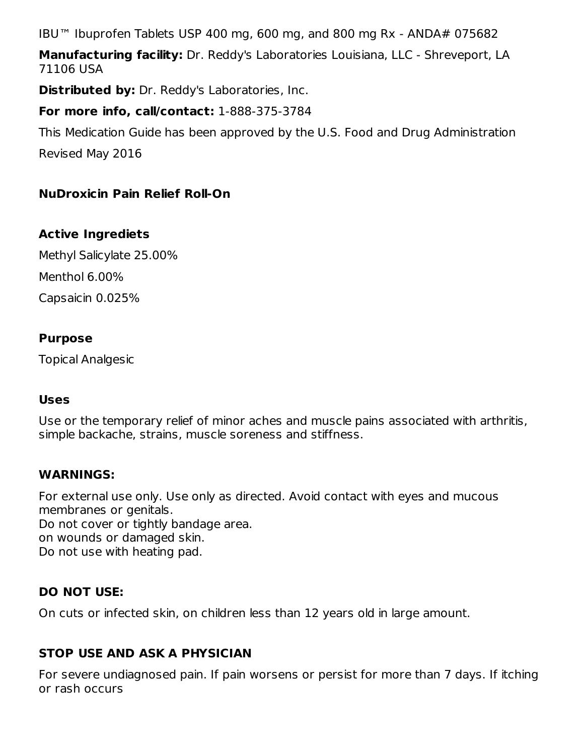IBU™ Ibuprofen Tablets USP 400 mg, 600 mg, and 800 mg Rx - ANDA# 075682

**Manufacturing facility:** Dr. Reddy's Laboratories Louisiana, LLC - Shreveport, LA 71106 USA

**Distributed by:** Dr. Reddy's Laboratories, Inc.

**For more info, call/contact:** 1-888-375-3784

This Medication Guide has been approved by the U.S. Food and Drug Administration Revised May 2016

#### **NuDroxicin Pain Relief Roll-On**

#### **Active Ingrediets**

Methyl Salicylate 25.00% Menthol 6.00% Capsaicin 0.025%

#### **Purpose**

Topical Analgesic

#### **Uses**

Use or the temporary relief of minor aches and muscle pains associated with arthritis, simple backache, strains, muscle soreness and stiffness.

#### **WARNINGS:**

For external use only. Use only as directed. Avoid contact with eyes and mucous membranes or genitals. Do not cover or tightly bandage area. on wounds or damaged skin. Do not use with heating pad.

#### **DO NOT USE:**

On cuts or infected skin, on children less than 12 years old in large amount.

#### **STOP USE AND ASK A PHYSICIAN**

For severe undiagnosed pain. If pain worsens or persist for more than 7 days. If itching or rash occurs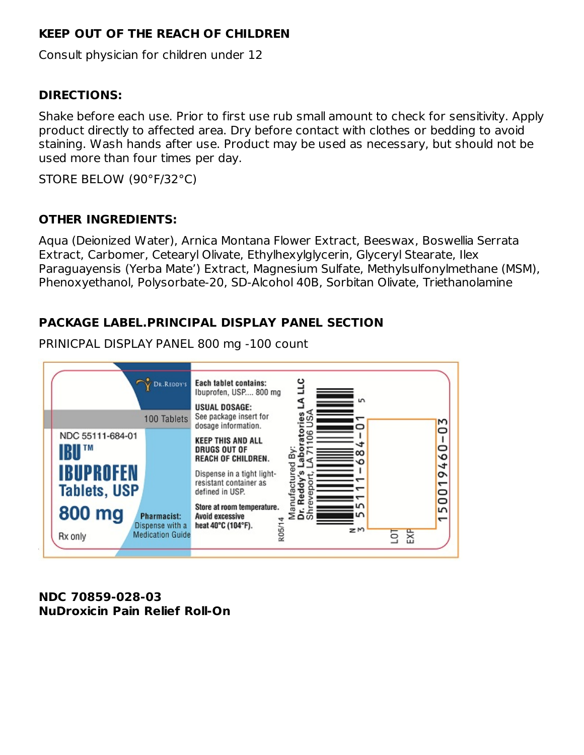#### **KEEP OUT OF THE REACH OF CHILDREN**

Consult physician for children under 12

#### **DIRECTIONS:**

Shake before each use. Prior to first use rub small amount to check for sensitivity. Apply product directly to affected area. Dry before contact with clothes or bedding to avoid staining. Wash hands after use. Product may be used as necessary, but should not be used more than four times per day.

STORE BELOW (90°F/32°C)

#### **OTHER INGREDIENTS:**

Aqua (Deionized Water), Arnica Montana Flower Extract, Beeswax, Boswellia Serrata Extract, Carbomer, Cetearyl Olivate, Ethylhexylglycerin, Glyceryl Stearate, Ilex Paraguayensis (Yerba Mate') Extract, Magnesium Sulfate, Methylsulfonylmethane (MSM), Phenoxyethanol, Polysorbate-20, SD-Alcohol 40B, Sorbitan Olivate, Triethanolamine

#### **PACKAGE LABEL.PRINCIPAL DISPLAY PANEL SECTION**

PRINICPAL DISPLAY PANEL 800 mg -100 count



**NDC 70859-028-03 NuDroxicin Pain Relief Roll-On**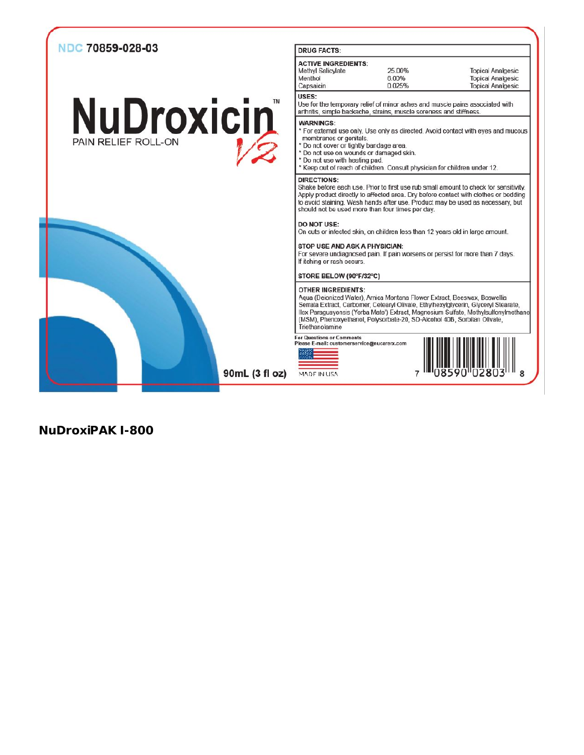

**NuDroxiPAK I-800**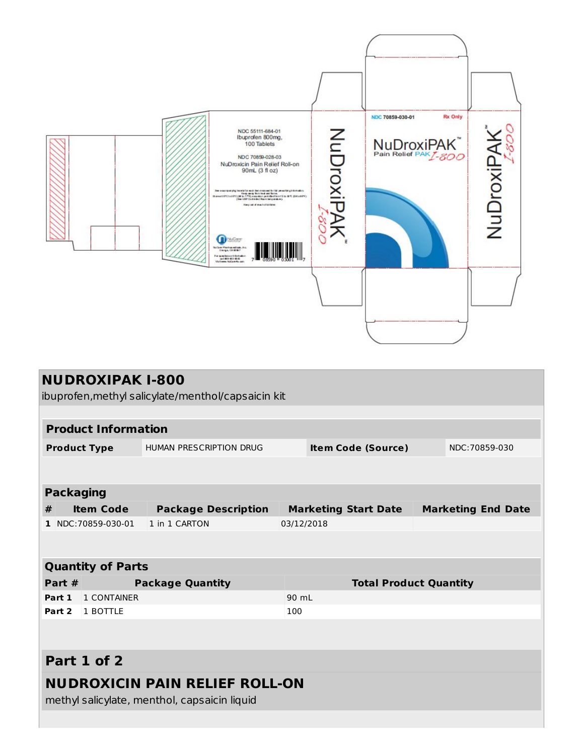

| <b>NUDROXIPAK I-800</b><br>ibuprofen, methyl salicylate/menthol/capsaicin kit |                                                                                       |                            |            |                               |  |                           |
|-------------------------------------------------------------------------------|---------------------------------------------------------------------------------------|----------------------------|------------|-------------------------------|--|---------------------------|
|                                                                               |                                                                                       |                            |            |                               |  |                           |
|                                                                               | <b>Product Information</b>                                                            |                            |            |                               |  |                           |
|                                                                               | <b>Product Type</b>                                                                   | HUMAN PRESCRIPTION DRUG    |            | <b>Item Code (Source)</b>     |  | NDC: 70859-030            |
|                                                                               |                                                                                       |                            |            |                               |  |                           |
| <b>Packaging</b>                                                              |                                                                                       |                            |            |                               |  |                           |
| #                                                                             | <b>Item Code</b>                                                                      | <b>Package Description</b> |            | <b>Marketing Start Date</b>   |  | <b>Marketing End Date</b> |
|                                                                               | $1$ NDC: 70859-030-01                                                                 | 1 in 1 CARTON              | 03/12/2018 |                               |  |                           |
|                                                                               |                                                                                       |                            |            |                               |  |                           |
|                                                                               | <b>Quantity of Parts</b>                                                              |                            |            |                               |  |                           |
| Part #                                                                        |                                                                                       | <b>Package Quantity</b>    |            | <b>Total Product Quantity</b> |  |                           |
| Part 1                                                                        | 1 CONTAINER                                                                           |                            | 90 mL      |                               |  |                           |
| Part 2                                                                        | 1 BOTTLE                                                                              |                            | 100        |                               |  |                           |
|                                                                               |                                                                                       |                            |            |                               |  |                           |
| Part 1 of 2                                                                   |                                                                                       |                            |            |                               |  |                           |
|                                                                               | <b>NUDROXICIN PAIN RELIEF ROLL-ON</b><br>methyl salicylate, menthol, capsaicin liquid |                            |            |                               |  |                           |
|                                                                               |                                                                                       |                            |            |                               |  |                           |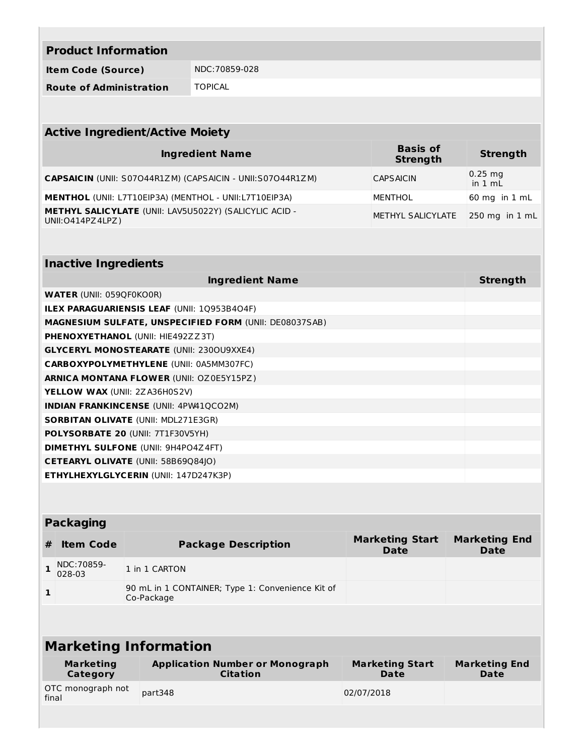| <b>Product Information</b>                                                          |                        |                                    |                        |
|-------------------------------------------------------------------------------------|------------------------|------------------------------------|------------------------|
| <b>Item Code (Source)</b>                                                           | NDC:70859-028          |                                    |                        |
| <b>Route of Administration</b>                                                      | <b>TOPICAL</b>         |                                    |                        |
|                                                                                     |                        |                                    |                        |
| <b>Active Ingredient/Active Moiety</b>                                              |                        |                                    |                        |
|                                                                                     | <b>Ingredient Name</b> | <b>Basis of</b><br><b>Strength</b> | <b>Strength</b>        |
| <b>CAPSAICIN</b> (UNII: S07044R1ZM) (CAPSAICIN - UNII:S07044R1ZM)                   |                        | <b>CAPSAICIN</b>                   | $0.25$ mg<br>in $1 mL$ |
| <b>MENTHOL (UNII: L7T10EIP3A) (MENTHOL - UNII:L7T10EIP3A)</b>                       |                        | <b>MENTHOL</b>                     | 60 mg in 1 mL          |
| <b>METHYL SALICYLATE</b> (UNII: LAV5U5022Y) (SALICYLIC ACID -<br>UNII: 0414PZ 4LPZ) |                        | METHYL SALICYLATE                  | 250 mg in 1 mL         |
|                                                                                     |                        |                                    |                        |
| <b>Inactive Ingredients</b>                                                         |                        |                                    |                        |
|                                                                                     | <b>Ingredient Name</b> |                                    | <b>Strength</b>        |
| <b>WATER (UNII: 059QF0KO0R)</b>                                                     |                        |                                    |                        |
| ILEX PARAGUARIENSIS LEAF (UNII: 1Q953B4O4F)                                         |                        |                                    |                        |
| <b>MAGNESIUM SULFATE, UNSPECIFIED FORM (UNII: DE08037SAB)</b>                       |                        |                                    |                        |
| <b>PHENOXYETHANOL (UNII: HIE492ZZ3T)</b>                                            |                        |                                    |                        |
| <b>GLYCERYL MONOSTEARATE (UNII: 2300U9XXE4)</b>                                     |                        |                                    |                        |
| CARBOXYPOLYMETHYLENE (UNII: 0A5MM307FC)                                             |                        |                                    |                        |
| <b>ARNICA MONTANA FLOWER (UNII: OZ0E5Y15PZ)</b>                                     |                        |                                    |                        |
| YELLOW WAX (UNII: 2ZA36H0S2V)                                                       |                        |                                    |                        |
| <b>INDIAN FRANKINCENSE (UNII: 4PW41QCO2M)</b>                                       |                        |                                    |                        |
| <b>SORBITAN OLIVATE (UNII: MDL271E3GR)</b>                                          |                        |                                    |                        |
| <b>POLYSORBATE 20 (UNII: 7T1F30V5YH)</b>                                            |                        |                                    |                        |
| <b>DIMETHYL SULFONE (UNII: 9H4PO4Z4FT)</b>                                          |                        |                                    |                        |
| CETEARYL OLIVATE (UNII: 58B69Q84JO)                                                 |                        |                                    |                        |
| ETHYLHEXYLGLYCERIN (UNII: 147D247K3P)                                               |                        |                                    |                        |

|  |  | <b>Packaging</b> |
|--|--|------------------|
|  |  |                  |
|  |  |                  |
|  |  |                  |

| # | <b>Item Code</b>          | <b>Package Description</b>                                     | <b>Marketing Start</b><br><b>Date</b> | <b>Marketing End</b><br>Date |
|---|---------------------------|----------------------------------------------------------------|---------------------------------------|------------------------------|
|   | $1$ NDC: 70859-<br>028-03 | 1 in 1 CARTON                                                  |                                       |                              |
|   |                           | 90 mL in 1 CONTAINER; Type 1: Convenience Kit of<br>Co-Package |                                       |                              |

# **Marketing Information**

| <b>Marketing</b>           | <b>Application Number or Monograph</b> | <b>Marketing Start</b> | <b>Marketing End</b> |
|----------------------------|----------------------------------------|------------------------|----------------------|
| Category                   | <b>Citation</b>                        | Date                   | Date                 |
| OTC monograph not<br>final | part348                                | 02/07/2018             |                      |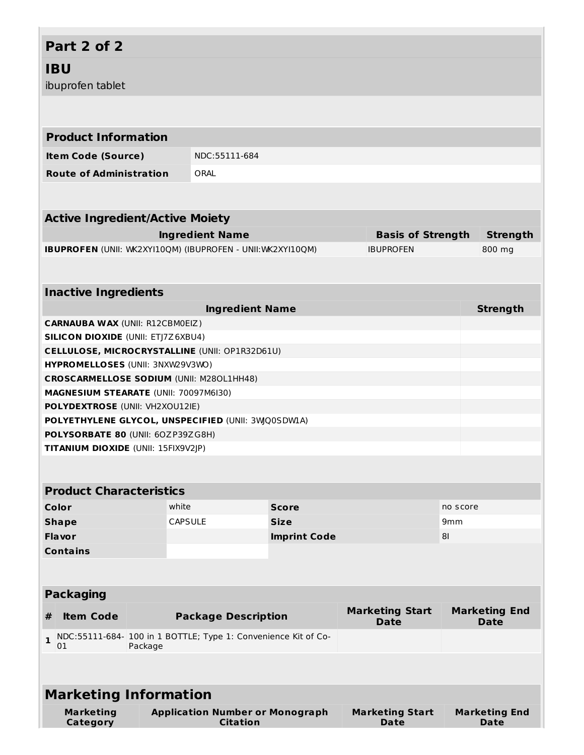# **Part 2 of 2**

# **IBU**

ibuprofen tablet

| ibuprofen tablet                                                                             |         |                                                                |                     |                                       |                                     |  |
|----------------------------------------------------------------------------------------------|---------|----------------------------------------------------------------|---------------------|---------------------------------------|-------------------------------------|--|
|                                                                                              |         |                                                                |                     |                                       |                                     |  |
|                                                                                              |         |                                                                |                     |                                       |                                     |  |
| <b>Product Information</b>                                                                   |         |                                                                |                     |                                       |                                     |  |
| <b>Item Code (Source)</b>                                                                    |         | NDC:55111-684                                                  |                     |                                       |                                     |  |
| <b>Route of Administration</b>                                                               |         | ORAL                                                           |                     |                                       |                                     |  |
|                                                                                              |         |                                                                |                     |                                       |                                     |  |
|                                                                                              |         |                                                                |                     |                                       |                                     |  |
| <b>Active Ingredient/Active Moiety</b>                                                       |         |                                                                |                     |                                       |                                     |  |
|                                                                                              |         | <b>Ingredient Name</b>                                         |                     | <b>Basis of Strength</b>              | <b>Strength</b>                     |  |
| IBUPROFEN (UNII: WK2XYI10QM) (IBUPROFEN - UNII: WK2XYI10QM)                                  |         |                                                                |                     | <b>IBUPROFEN</b>                      | 800 mg                              |  |
|                                                                                              |         |                                                                |                     |                                       |                                     |  |
| <b>Inactive Ingredients</b>                                                                  |         |                                                                |                     |                                       |                                     |  |
|                                                                                              |         | <b>Ingredient Name</b>                                         |                     |                                       | <b>Strength</b>                     |  |
| <b>CARNAUBA WAX (UNII: R12CBM0EIZ)</b>                                                       |         |                                                                |                     |                                       |                                     |  |
| <b>SILICON DIOXIDE (UNII: ETJ7Z6XBU4)</b>                                                    |         |                                                                |                     |                                       |                                     |  |
| CELLULOSE, MICROCRYSTALLINE (UNII: OP1R32D61U)                                               |         |                                                                |                     |                                       |                                     |  |
| HYPROMELLOSES (UNII: 3NXW29V3WO)                                                             |         |                                                                |                     |                                       |                                     |  |
| <b>CROSCARMELLOSE SODIUM (UNII: M280L1HH48)</b>                                              |         |                                                                |                     |                                       |                                     |  |
| MAGNESIUM STEARATE (UNII: 70097M6I30)                                                        |         |                                                                |                     |                                       |                                     |  |
| <b>POLYDEXTROSE (UNII: VH2XOU12IE)</b><br>POLYETHYLENE GLYCOL, UNSPECIFIED (UNII: 3WQ0SDWLA) |         |                                                                |                     |                                       |                                     |  |
| POLYSORBATE 80 (UNII: 60ZP39ZG8H)                                                            |         |                                                                |                     |                                       |                                     |  |
| <b>TITANIUM DIOXIDE (UNII: 15FIX9V2JP)</b>                                                   |         |                                                                |                     |                                       |                                     |  |
|                                                                                              |         |                                                                |                     |                                       |                                     |  |
|                                                                                              |         |                                                                |                     |                                       |                                     |  |
| <b>Product Characteristics</b>                                                               |         |                                                                |                     |                                       |                                     |  |
| Color                                                                                        | white   |                                                                | <b>Score</b>        |                                       | no score                            |  |
| <b>Shape</b>                                                                                 | CAPSULE |                                                                | <b>Size</b>         |                                       | 9 <sub>mm</sub>                     |  |
| Flavor                                                                                       |         |                                                                | <b>Imprint Code</b> |                                       | 81                                  |  |
| <b>Contains</b>                                                                              |         |                                                                |                     |                                       |                                     |  |
|                                                                                              |         |                                                                |                     |                                       |                                     |  |
| <b>Packaging</b>                                                                             |         |                                                                |                     |                                       |                                     |  |
| <b>Item Code</b><br>#                                                                        |         | <b>Package Description</b>                                     |                     | <b>Marketing Start</b><br><b>Date</b> | <b>Marketing End</b><br><b>Date</b> |  |
| $\mathbf{1}$                                                                                 |         | NDC:55111-684- 100 in 1 BOTTLE; Type 1: Convenience Kit of Co- |                     |                                       |                                     |  |
| 01                                                                                           | Package |                                                                |                     |                                       |                                     |  |
|                                                                                              |         |                                                                |                     |                                       |                                     |  |
| <b>Marketing Information</b>                                                                 |         |                                                                |                     |                                       |                                     |  |
| <b>Marketing</b><br><b>Category</b>                                                          |         | <b>Application Number or Monograph</b><br><b>Citation</b>      |                     | <b>Marketing Start</b><br><b>Date</b> | <b>Marketing End</b><br><b>Date</b> |  |
|                                                                                              |         |                                                                |                     |                                       |                                     |  |